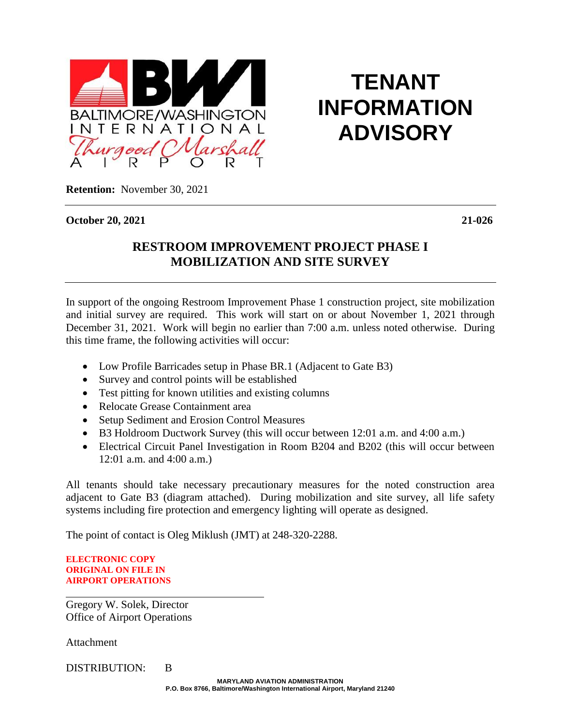

## **TENANT INFORMATION ADVISORY**

**Retention:** November 30, 2021

**October 20, 2021 21-026**

## **RESTROOM IMPROVEMENT PROJECT PHASE I MOBILIZATION AND SITE SURVEY**

In support of the ongoing Restroom Improvement Phase 1 construction project, site mobilization and initial survey are required. This work will start on or about November 1, 2021 through December 31, 2021. Work will begin no earlier than 7:00 a.m. unless noted otherwise. During this time frame, the following activities will occur:

- Low Profile Barricades setup in Phase BR.1 (Adjacent to Gate B3)
- Survey and control points will be established
- Test pitting for known utilities and existing columns
- Relocate Grease Containment area
- Setup Sediment and Erosion Control Measures
- B3 Holdroom Ductwork Survey (this will occur between 12:01 a.m. and 4:00 a.m.)
- Electrical Circuit Panel Investigation in Room B204 and B202 (this will occur between 12:01 a.m. and 4:00 a.m.)

All tenants should take necessary precautionary measures for the noted construction area adjacent to Gate B3 (diagram attached). During mobilization and site survey, all life safety systems including fire protection and emergency lighting will operate as designed.

The point of contact is Oleg Miklush (JMT) at 248-320-2288.

**ELECTRONIC COPY ORIGINAL ON FILE IN AIRPORT OPERATIONS**

Gregory W. Solek, Director Office of Airport Operations

**Attachment** 

DISTRIBUTION: B